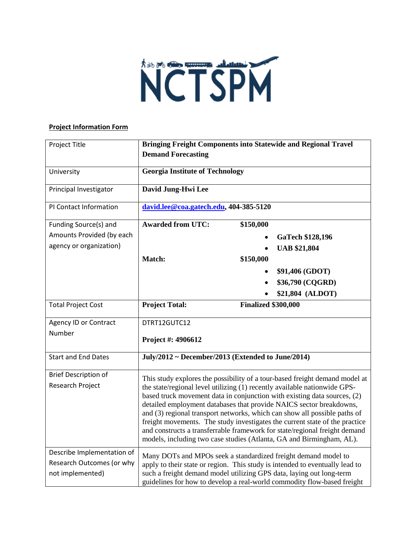

## **Project Information Form**

| Project Title                                                               | <b>Bringing Freight Components into Statewide and Regional Travel</b><br><b>Demand Forecasting</b>                                                                                                                                                                                                                                                                                                                                                                                                                                             |
|-----------------------------------------------------------------------------|------------------------------------------------------------------------------------------------------------------------------------------------------------------------------------------------------------------------------------------------------------------------------------------------------------------------------------------------------------------------------------------------------------------------------------------------------------------------------------------------------------------------------------------------|
| University                                                                  | <b>Georgia Institute of Technology</b>                                                                                                                                                                                                                                                                                                                                                                                                                                                                                                         |
| Principal Investigator                                                      | David Jung-Hwi Lee                                                                                                                                                                                                                                                                                                                                                                                                                                                                                                                             |
| PI Contact Information                                                      | david.lee@coa.gatech.edu, 404-385-5120                                                                                                                                                                                                                                                                                                                                                                                                                                                                                                         |
| Funding Source(s) and                                                       | <b>Awarded from UTC:</b><br>\$150,000                                                                                                                                                                                                                                                                                                                                                                                                                                                                                                          |
| Amounts Provided (by each                                                   | <b>GaTech \$128,196</b>                                                                                                                                                                                                                                                                                                                                                                                                                                                                                                                        |
| agency or organization)                                                     | <b>UAB \$21,804</b>                                                                                                                                                                                                                                                                                                                                                                                                                                                                                                                            |
|                                                                             | Match:<br>\$150,000                                                                                                                                                                                                                                                                                                                                                                                                                                                                                                                            |
|                                                                             | \$91,406 (GDOT)                                                                                                                                                                                                                                                                                                                                                                                                                                                                                                                                |
|                                                                             | \$36,790 (CQGRD)                                                                                                                                                                                                                                                                                                                                                                                                                                                                                                                               |
|                                                                             | \$21,804 (ALDOT)                                                                                                                                                                                                                                                                                                                                                                                                                                                                                                                               |
| <b>Total Project Cost</b>                                                   | <b>Project Total:</b><br><b>Finalized \$300,000</b>                                                                                                                                                                                                                                                                                                                                                                                                                                                                                            |
| <b>Agency ID or Contract</b>                                                | DTRT12GUTC12                                                                                                                                                                                                                                                                                                                                                                                                                                                                                                                                   |
| Number                                                                      | Project #: 4906612                                                                                                                                                                                                                                                                                                                                                                                                                                                                                                                             |
| <b>Start and End Dates</b>                                                  | July/2012 ~ December/2013 (Extended to June/2014)                                                                                                                                                                                                                                                                                                                                                                                                                                                                                              |
| <b>Brief Description of</b>                                                 | This study explores the possibility of a tour-based freight demand model at                                                                                                                                                                                                                                                                                                                                                                                                                                                                    |
| Research Project                                                            | the state/regional level utilizing (1) recently available nationwide GPS-<br>based truck movement data in conjunction with existing data sources, (2)<br>detailed employment databases that provide NAICS sector breakdowns,<br>and (3) regional transport networks, which can show all possible paths of<br>freight movements. The study investigates the current state of the practice<br>and constructs a transferrable framework for state/regional freight demand<br>models, including two case studies (Atlanta, GA and Birmingham, AL). |
| Describe Implementation of<br>Research Outcomes (or why<br>not implemented) | Many DOTs and MPOs seek a standardized freight demand model to<br>apply to their state or region. This study is intended to eventually lead to<br>such a freight demand model utilizing GPS data, laying out long-term<br>guidelines for how to develop a real-world commodity flow-based freight                                                                                                                                                                                                                                              |